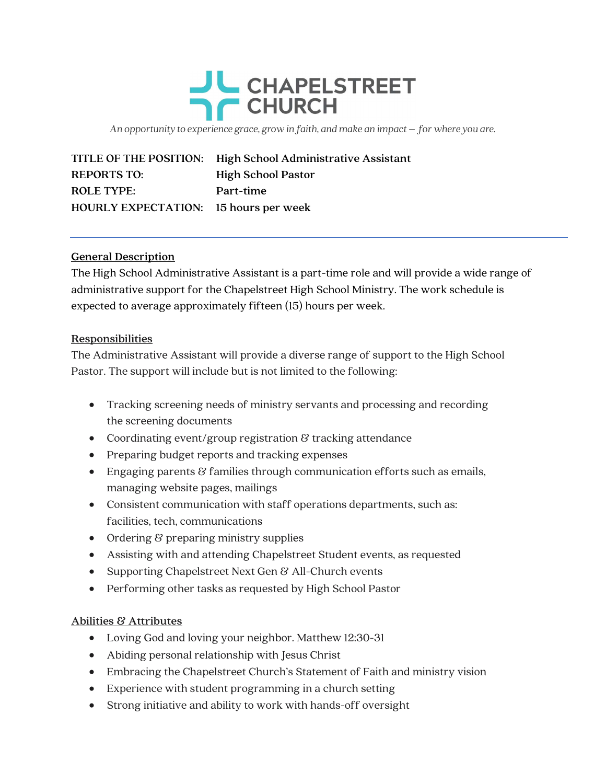

An opportunity to experience grace, grow in faith, and make an impact – for where you are.

|                                              | TITLE OF THE POSITION: High School Administrative Assistant |
|----------------------------------------------|-------------------------------------------------------------|
| <b>REPORTS TO:</b>                           | <b>High School Pastor</b>                                   |
| <b>ROLE TYPE:</b>                            | Part-time                                                   |
| <b>HOURLY EXPECTATION:</b> 15 hours per week |                                                             |

## General Description

The High School Administrative Assistant is a part-time role and will provide a wide range of administrative support for the Chapelstreet High School Ministry. The work schedule is expected to average approximately fifteen (15) hours per week.

## Responsibilities

The Administrative Assistant will provide a diverse range of support to the High School Pastor. The support will include but is not limited to the following:

- Tracking screening needs of ministry servants and processing and recording the screening documents
- Coordinating event/group registration  $\mathcal B$  tracking attendance
- Preparing budget reports and tracking expenses
- **Engaging parents**  $\mathcal{B}$  **families through communication efforts such as emails,** managing website pages, mailings
- Consistent communication with staff operations departments, such as: facilities, tech, communications
- Ordering  $\vartheta$  preparing ministry supplies
- Assisting with and attending Chapelstreet Student events, as requested
- Supporting Chapelstreet Next Gen & All-Church events
- Performing other tasks as requested by High School Pastor

## Abilities & Attributes

- Loving God and loving your neighbor. Matthew 12:30-31
- Abiding personal relationship with Jesus Christ
- Embracing the Chapelstreet Church's Statement of Faith and ministry vision
- Experience with student programming in a church setting
- Strong initiative and ability to work with hands-off oversight